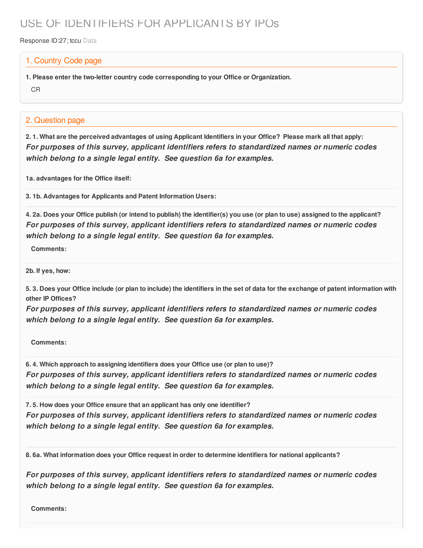## USE OF IDENTIFIERS FOR APPLICANTS BY IPOs

Response ID:27; tccu Data

## 1. Country Code page

**1. Please enter the two-letter country code corresponding to your Office or Organization.**

CR

## 2. Question page

2.1. What are the perceived advantages of using Applicant Identifiers in your Office? Please mark all that apply: *For purposes of this survey, applicant identifiers refers to standardized names or numeric codes which belong to a single legal entity. See question 6a for examples.*

**1a. advantages for the Office itself:**

**3. 1b. Advantages for Applicants and Patent Information Users:**

4. 2a. Does your Office publish (or intend to publish) the identifier(s) you use (or plan to use) assigned to the applicant? *For purposes of this survey, applicant identifiers refers to standardized names or numeric codes which belong to a single legal entity. See question 6a for examples.*

**Comments:**

**2b. If yes, how:**

5.3. Does your Office include (or plan to include) the identifiers in the set of data for the exchange of patent information with **other IP Offices?**

*For purposes of this survey, applicant identifiers refers to standardized names or numeric codes which belong to a single legal entity. See question 6a for examples.*

**Comments:**

**6. 4. Which approach to assigning identifiers does your Office use (or plan to use)?** *For purposes of this survey, applicant identifiers refers to standardized names or numeric codes which belong to a single legal entity. See question 6a for examples.*

**7. 5. How does your Office ensure that an applicant has only one identifier?** *For purposes of this survey, applicant identifiers refers to standardized names or numeric codes which belong to a single legal entity. See question 6a for examples.*

**8. 6a. What information does your Office request in order to determine identifiers for national applicants?**

*For purposes of this survey, applicant identifiers refers to standardized names or numeric codes which belong to a single legal entity. See question 6a for examples.*

**Comments:**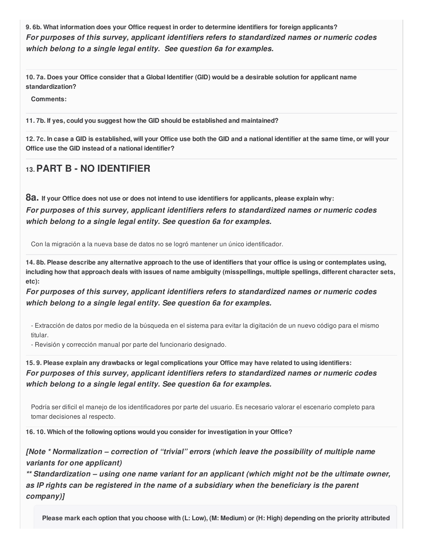**9. 6b. What information does your Office request in order to determine identifiers for foreign applicants?** *For purposes of this survey, applicant identifiers refers to standardized names or numeric codes which belong to a single legal entity. See question 6a for examples.*

10.7a. Does your Office consider that a Global Identifier (GID) would be a desirable solution for applicant name **standardization?**

**Comments:**

**11. 7b. If yes, could you suggest how the GID should be established and maintained?**

12.7c. In case a GID is established, will your Office use both the GID and a national identifier at the same time, or will your **Office use the GID instead of a national identifier?**

## **13.PART B - NO IDENTIFIER**

8a. If your Office does not use or does not intend to use identifiers for applicants, please explain why: *For purposes of this survey, applicant identifiers refers to standardized names or numeric codes which belong to a single legal entity. See question 6a for examples.*

Con la migración a la nueva base de datos no se logró mantener un único identificador.

14.8b. Please describe any alternative approach to the use of identifiers that your office is using or contemplates using, including how that approach deals with issues of name ambiguity (misspellings, multiple spellings, different character sets, **etc):**

*For purposes of this survey, applicant identifiers refers to standardized names or numeric codes which belong to a single legal entity. See question 6a for examples.*

- Extracción de datos por medio de la búsqueda en el sistema para evitar la digitación de un nuevo código para el mismo titular.

- Revisión y corrección manual por parte del funcionario designado.

15.9. Please explain any drawbacks or legal complications your Office may have related to using identifiers: *For purposes of this survey, applicant identifiers refers to standardized names or numeric codes which belong to a single legal entity. See question 6a for examples.*

Podría ser dificil el manejo de los identificadores por parte del usuario. Es necesario valorar el escenario completo para tomar decisiones al respecto.

**16. 10. Which of the following options would you consider for investigation in your Office?**

*[Note \* Normalization – correction of "trivial" errors (which leave the possibility of multiple name variants for one applicant)*

*\*\* Standardization – using one name variant for an applicant (which might not be the ultimate owner, as IP rights can be registered in the name of a subsidiary when the beneficiary is the parent company)]*

Please mark each option that you choose with (L: Low), (M: Medium) or (H: High) depending on the priority attributed